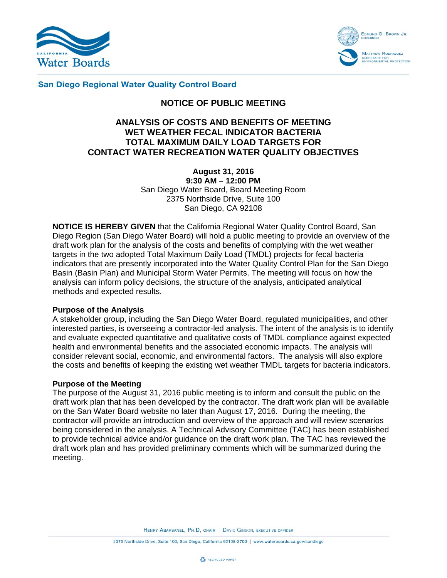



#### **San Diego Regional Water Quality Control Board**

# **NOTICE OF PUBLIC MEETING**

# **ANALYSIS OF COSTS AND BENEFITS OF MEETING WET WEATHER FECAL INDICATOR BACTERIA TOTAL MAXIMUM DAILY LOAD TARGETS FOR CONTACT WATER RECREATION WATER QUALITY OBJECTIVES**

**August 31, 2016 9:30 AM – 12:00 PM**  San Diego Water Board, Board Meeting Room 2375 Northside Drive, Suite 100 San Diego, CA 92108

**NOTICE IS HEREBY GIVEN** that the California Regional Water Quality Control Board, San Diego Region (San Diego Water Board) will hold a public meeting to provide an overview of the draft work plan for the analysis of the costs and benefits of complying with the wet weather targets in the two adopted Total Maximum Daily Load (TMDL) projects for fecal bacteria indicators that are presently incorporated into the Water Quality Control Plan for the San Diego Basin (Basin Plan) and Municipal Storm Water Permits. The meeting will focus on how the analysis can inform policy decisions, the structure of the analysis, anticipated analytical methods and expected results.

#### **Purpose of the Analysis**

A stakeholder group, including the San Diego Water Board, regulated municipalities, and other interested parties, is overseeing a contractor-led analysis. The intent of the analysis is to identify and evaluate expected quantitative and qualitative costs of TMDL compliance against expected health and environmental benefits and the associated economic impacts. The analysis will consider relevant social, economic, and environmental factors. The analysis will also explore the costs and benefits of keeping the existing wet weather TMDL targets for bacteria indicators.

#### **Purpose of the Meeting**

The purpose of the August 31, 2016 public meeting is to inform and consult the public on the draft work plan that has been developed by the contractor. The draft work plan will be available on the San Water Board website no later than August 17, 2016. During the meeting, the contractor will provide an introduction and overview of the approach and will review scenarios being considered in the analysis. A Technical Advisory Committee (TAC) has been established to provide technical advice and/or guidance on the draft work plan. The TAC has reviewed the draft work plan and has provided preliminary comments which will be summarized during the meeting.

HENRY ABARBANEL, PH.D, CHAIR | DAVID GIBSON, EXECUTIVE OFFICER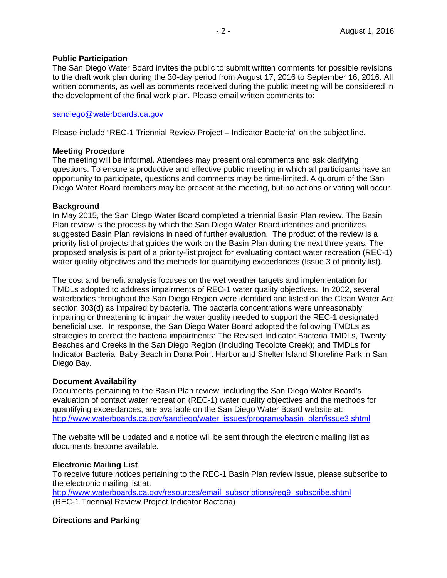### **Public Participation**

The San Diego Water Board invites the public to submit written comments for possible revisions to the draft work plan during the 30-day period from August 17, 2016 to September 16, 2016. All written comments, as well as comments received during the public meeting will be considered in the development of the final work plan. Please email written comments to:

#### sandiego@waterboards.ca.gov

Please include "REC-1 Triennial Review Project – Indicator Bacteria" on the subject line.

### **Meeting Procedure**

The meeting will be informal. Attendees may present oral comments and ask clarifying questions. To ensure a productive and effective public meeting in which all participants have an opportunity to participate, questions and comments may be time-limited. A quorum of the San Diego Water Board members may be present at the meeting, but no actions or voting will occur.

#### **Background**

In May 2015, the San Diego Water Board completed a triennial Basin Plan review. The Basin Plan review is the process by which the San Diego Water Board identifies and prioritizes suggested Basin Plan revisions in need of further evaluation. The product of the review is a priority list of projects that guides the work on the Basin Plan during the next three years. The proposed analysis is part of a priority-list project for evaluating contact water recreation (REC-1) water quality objectives and the methods for quantifying exceedances (Issue 3 of priority list).

The cost and benefit analysis focuses on the wet weather targets and implementation for TMDLs adopted to address impairments of REC-1 water quality objectives. In 2002, several waterbodies throughout the San Diego Region were identified and listed on the Clean Water Act section 303(d) as impaired by bacteria. The bacteria concentrations were unreasonably impairing or threatening to impair the water quality needed to support the REC-1 designated beneficial use. In response, the San Diego Water Board adopted the following TMDLs as strategies to correct the bacteria impairments: The Revised Indicator Bacteria TMDLs, Twenty Beaches and Creeks in the San Diego Region (Including Tecolote Creek); and TMDLs for Indicator Bacteria, Baby Beach in Dana Point Harbor and Shelter Island Shoreline Park in San Diego Bay.

#### **Document Availability**

Documents pertaining to the Basin Plan review, including the San Diego Water Board's evaluation of contact water recreation (REC-1) water quality objectives and the methods for quantifying exceedances, are available on the San Diego Water Board website at: http://www.waterboards.ca.gov/sandiego/water\_issues/programs/basin\_plan/issue3.shtml

The website will be updated and a notice will be sent through the electronic mailing list as documents become available.

#### **Electronic Mailing List**

To receive future notices pertaining to the REC-1 Basin Plan review issue, please subscribe to the electronic mailing list at:

http://www.waterboards.ca.gov/resources/email\_subscriptions/reg9\_subscribe.shtml (REC-1 Triennial Review Project Indicator Bacteria)

## **Directions and Parking**